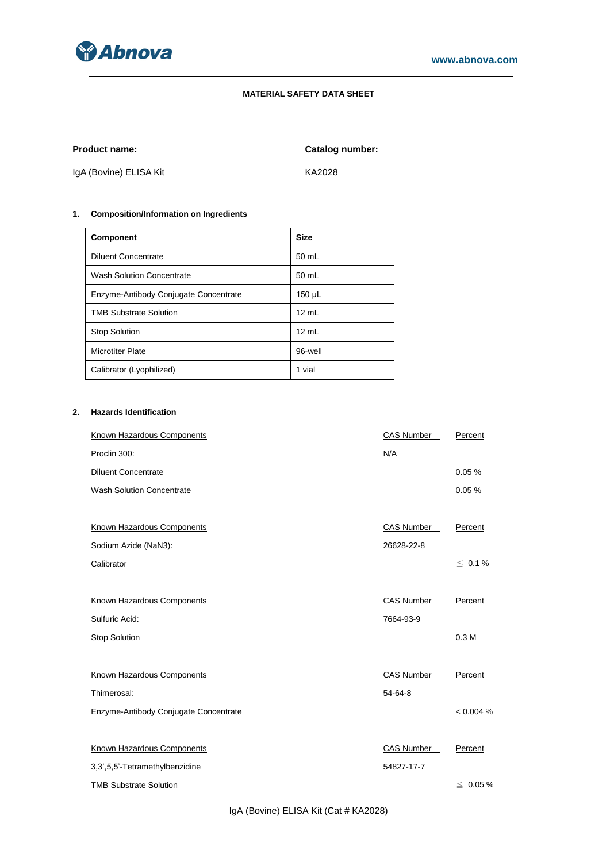

# **MATERIAL SAFETY DATA SHEET**

**Product name: Catalog number:**

IgA (Bovine) ELISA Kit KA2028

# **1. Composition/Information on Ingredients**

| <b>Component</b>                      | <b>Size</b> |
|---------------------------------------|-------------|
| <b>Diluent Concentrate</b>            | 50 mL       |
| <b>Wash Solution Concentrate</b>      | 50 mL       |
| Enzyme-Antibody Conjugate Concentrate | 150 µL      |
| <b>TMB Substrate Solution</b>         | 12 mL       |
| <b>Stop Solution</b>                  | 12 mL       |
| <b>Microtiter Plate</b>               | 96-well     |
| Calibrator (Lyophilized)              | 1 vial      |

# **2. Hazards Identification**

| Known Hazardous Components            | <b>CAS Number</b> | Percent          |
|---------------------------------------|-------------------|------------------|
| Proclin 300:                          | N/A               |                  |
| <b>Diluent Concentrate</b>            |                   | 0.05%            |
| <b>Wash Solution Concentrate</b>      |                   | 0.05%            |
|                                       |                   |                  |
| <b>Known Hazardous Components</b>     | CAS Number        | Percent          |
| Sodium Azide (NaN3):                  | 26628-22-8        |                  |
| Calibrator                            |                   | $\leq 0.1 \%$    |
|                                       |                   |                  |
| Known Hazardous Components            | <b>CAS Number</b> | Percent          |
| Sulfuric Acid:                        | 7664-93-9         |                  |
| Stop Solution                         |                   | 0.3 <sub>M</sub> |
|                                       |                   |                  |
| Known Hazardous Components            | CAS Number        | Percent          |
| Thimerosal:                           | 54-64-8           |                  |
| Enzyme-Antibody Conjugate Concentrate |                   | < 0.004 %        |
|                                       |                   |                  |
| <b>Known Hazardous Components</b>     | CAS Number        | Percent          |
| 3,3',5,5'-Tetramethylbenzidine        | 54827-17-7        |                  |
| <b>TMB Substrate Solution</b>         |                   | $\leq 0.05 \%$   |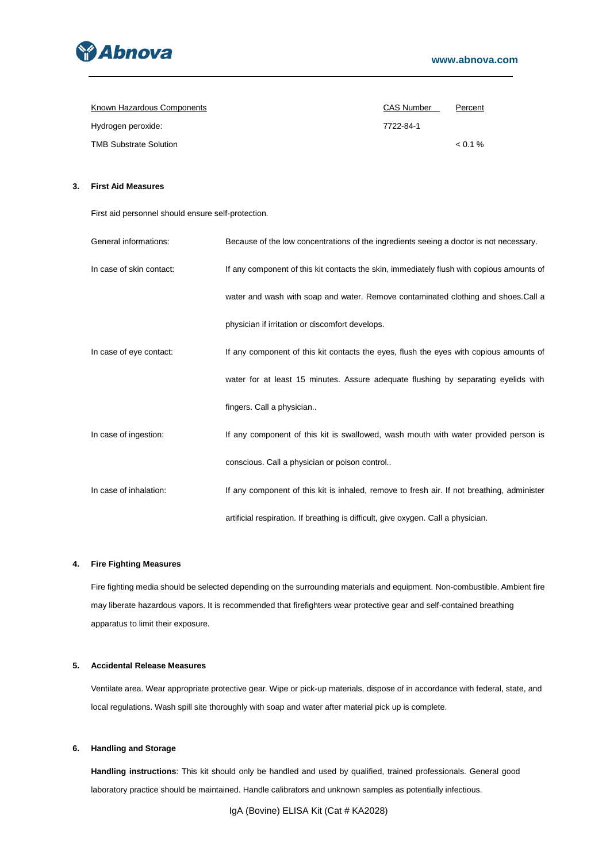

| Known Hazardous Components    | <b>CAS Number</b> | Percent |
|-------------------------------|-------------------|---------|
| Hydrogen peroxide:            | 7722-84-1         |         |
| <b>TMB Substrate Solution</b> |                   | $0.1\%$ |

# **3. First Aid Measures**

First aid personnel should ensure self-protection.

| General informations:    | Because of the low concentrations of the ingredients seeing a doctor is not necessary.     |
|--------------------------|--------------------------------------------------------------------------------------------|
| In case of skin contact: | If any component of this kit contacts the skin, immediately flush with copious amounts of  |
|                          | water and wash with soap and water. Remove contaminated clothing and shoes. Call a         |
|                          | physician if irritation or discomfort develops.                                            |
| In case of eye contact:  | If any component of this kit contacts the eyes, flush the eyes with copious amounts of     |
|                          | water for at least 15 minutes. Assure adequate flushing by separating eyelids with         |
|                          | fingers. Call a physician                                                                  |
| In case of ingestion:    | If any component of this kit is swallowed, wash mouth with water provided person is        |
|                          | conscious. Call a physician or poison control                                              |
| In case of inhalation:   | If any component of this kit is inhaled, remove to fresh air. If not breathing, administer |
|                          | artificial respiration. If breathing is difficult, give oxygen. Call a physician.          |

# **4. Fire Fighting Measures**

Fire fighting media should be selected depending on the surrounding materials and equipment. Non-combustible. Ambient fire may liberate hazardous vapors. It is recommended that firefighters wear protective gear and self-contained breathing apparatus to limit their exposure.

## **5. Accidental Release Measures**

Ventilate area. Wear appropriate protective gear. Wipe or pick-up materials, dispose of in accordance with federal, state, and local regulations. Wash spill site thoroughly with soap and water after material pick up is complete.

## **6. Handling and Storage**

**Handling instructions**: This kit should only be handled and used by qualified, trained professionals. General good laboratory practice should be maintained. Handle calibrators and unknown samples as potentially infectious.

IgA (Bovine) ELISA Kit (Cat # KA2028)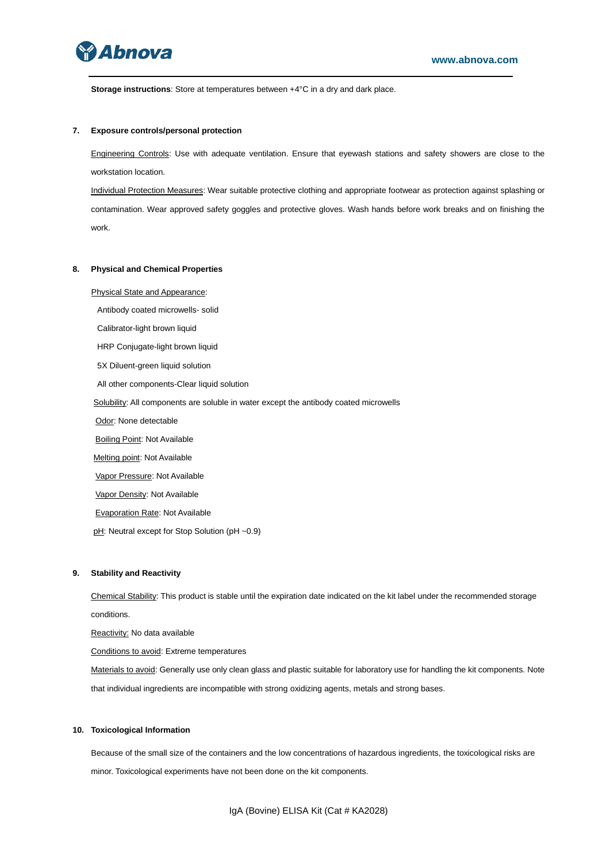

**Storage instructions**: Store at temperatures between +4°C in a dry and dark place.

### **7. Exposure controls/personal protection**

Engineering Controls: Use with adequate ventilation. Ensure that eyewash stations and safety showers are close to the workstation location.

Individual Protection Measures: Wear suitable protective clothing and appropriate footwear as protection against splashing or contamination. Wear approved safety goggles and protective gloves. Wash hands before work breaks and on finishing the work.

#### **8. Physical and Chemical Properties**

Physical State and Appearance:

Antibody coated microwells- solid

Calibrator-light brown liquid

HRP Conjugate-light brown liquid

5X Diluent-green liquid solution

All other components-Clear liquid solution

Solubility: All components are soluble in water except the antibody coated microwells

Odor: None detectable

**Boiling Point: Not Available** 

Melting point: Not Available

Vapor Pressure: Not Available

Vapor Density: Not Available

Evaporation Rate: Not Available

pH: Neutral except for Stop Solution (pH ~0.9)

### **9. Stability and Reactivity**

Chemical Stability: This product is stable until the expiration date indicated on the kit label under the recommended storage conditions.

Reactivity: No data available

Conditions to avoid: Extreme temperatures

Materials to avoid: Generally use only clean glass and plastic suitable for laboratory use for handling the kit components. Note that individual ingredients are incompatible with strong oxidizing agents, metals and strong bases.

#### **10. Toxicological Information**

Because of the small size of the containers and the low concentrations of hazardous ingredients, the toxicological risks are minor. Toxicological experiments have not been done on the kit components.